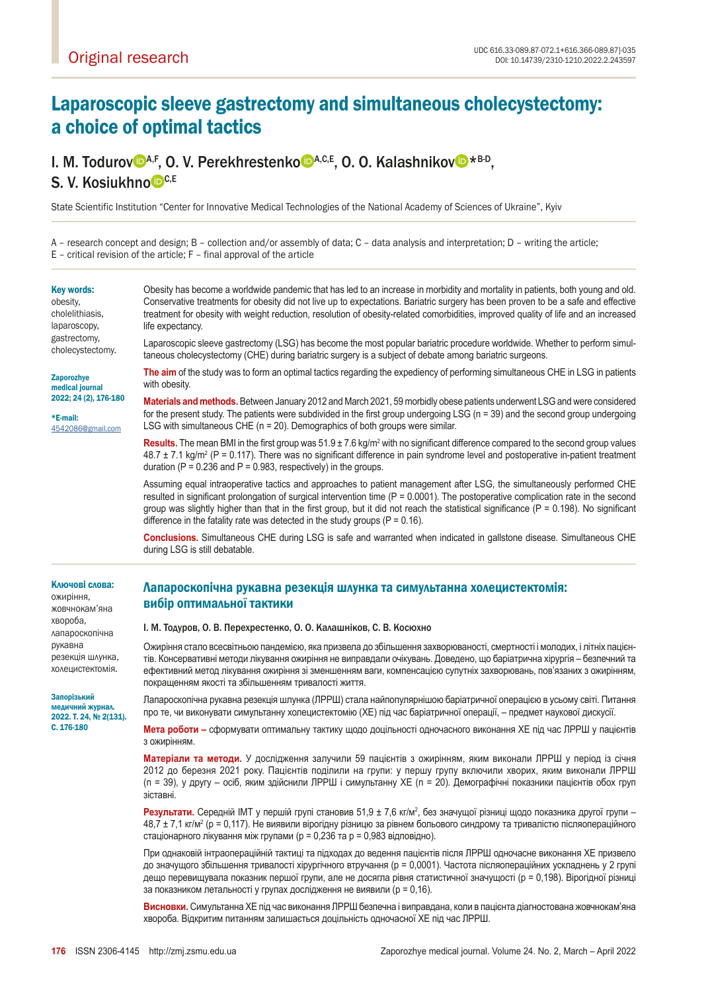# Laparoscopic sleeve gastrectomy and simultaneous cholecystectomy: a choice of optimal tactics

## I. M. Todurov <sup>D[A](https://orcid.org/0000-0002-8240-7095),F</sup>, O. V. Perekhrestenko DA,C,E, O. O. Kalashniko[v](https://orcid.org/0000-0002-8224-8039) D<sup>\*B-D</sup>, S. V. K[o](https://orcid.org/0000-0002-2950-9279)siukhno<sup>DC,E</sup>

State Scientific Institution "Center for Innovative Medical Technologies of the National Academy of Sciences of Ukraine", Kyiv

A – research concept and design; B – collection and/or assembly of data; C – data analysis and interpretation; D – writing the article;

E – critical revision of the article; F – final approval of the article

| <b>Key words:</b><br>obesity.<br>cholelithiasis,<br>laparoscopy.<br>gastrectomy,<br>cholecystectomy. | Obesity has become a worldwide pandemic that has led to an increase in morbidity and mortality in patients, both young and old.<br>Conservative treatments for obesity did not live up to expectations. Bariatric surgery has been proven to be a safe and effective<br>treatment for obesity with weight reduction, resolution of obesity-related comorbidities, improved quality of life and an increased<br>life expectancy. |
|------------------------------------------------------------------------------------------------------|---------------------------------------------------------------------------------------------------------------------------------------------------------------------------------------------------------------------------------------------------------------------------------------------------------------------------------------------------------------------------------------------------------------------------------|
|                                                                                                      | Laparoscopic sleeve gastrectomy (LSG) has become the most popular bariatric procedure worldwide. Whether to perform simul-<br>taneous cholecystectomy (CHE) during bariatric surgery is a subject of debate among bariatric surgeons.                                                                                                                                                                                           |
| Zaporozhye<br>medical journal<br>2022; 24 (2), 176-180<br>*E-mail:<br>4542086@gmail.com              | The aim of the study was to form an optimal tactics regarding the expediency of performing simultaneous CHE in LSG in patients<br>with obesity.                                                                                                                                                                                                                                                                                 |
|                                                                                                      | Materials and methods. Between January 2012 and March 2021, 59 morbidly obese patients underwent LSG and were considered<br>for the present study. The patients were subdivided in the first group undergoing LSG ( $n = 39$ ) and the second group undergoing<br>LSG with simultaneous CHE ( $n = 20$ ). Demographics of both groups were similar.                                                                             |
|                                                                                                      | <b>Results.</b> The mean BMI in the first group was $51.9 \pm 7.6$ kg/m <sup>2</sup> with no significant difference compared to the second group values<br>48.7 ± 7.1 kg/m <sup>2</sup> (P = 0.117). There was no significant difference in pain syndrome level and postoperative in-patient treatment                                                                                                                          |

Assuming equal intraoperative tactics and approaches to patient management after LSG, the simultaneously performed CHE resulted in significant prolongation of surgical intervention time (P = 0.0001). The postoperative complication rate in the second group was slightly higher than that in the first group, but it did not reach the statistical significance ( $P = 0.198$ ). No significant difference in the fatality rate was detected in the study groups ( $P = 0.16$ ).

**Conclusions.** Simultaneous CHE during LSG is safe and warranted when indicated in gallstone disease. Simultaneous CHE during LSG is still debatable.

#### Лапароскопічна рукавна резекція шлунка та симультанна холецистектомія: вибір оптимальної тактики Ключові слова:

І. М. Тодуров, О. В. Перехрестенко, О. О. Калашніков, С. В. Косюхно

duration (P = 0.236 and P = 0.983, respectively) in the groups.

Ожиріння стало всесвітньою пандемією, яка призвела до збільшення захворюваності, смертності і молодих, і літніх пацієнтів. Консервативні методи лікування ожиріння не виправдали очікувань. Доведено, що баріатрична хірургія – безпечний та ефективний метод лікування ожиріння зі зменшенням ваги, компенсацією супутніх захворювань, пов'язаних з ожирінням, покращенням якості та збільшенням тривалості життя.

Лапароскопічна рукавна резекція шлунка (ЛРРШ) стала найпопулярнішою баріатричної операцією в усьому світі. Питання про те, чи виконувати симультанну холецистектомію (ХЕ) під час баріатричної операції, – предмет наукової дискусії.

**Мета роботи –** сформувати оптимальну тактику щодо доцільності одночасного виконання ХЕ під час ЛРРШ у пацієнтів з ожирінням.

**Матеріали та методи.** У дослідження залучили 59 пацієнтів з ожирінням, яким виконали ЛРРШ у період із січня 2012 до березня 2021 року. Пацієнтів поділили на групи: у першу групу включили хворих, яким виконали ЛРРШ (n = 39), у другу – осіб, яким здійснили ЛРРШ і симультанну ХЕ (n = 20). Демографічні показники пацієнтів обох груп зіставні.

**Результати.** Середній ІМТ у першій групі становив 51,9 ± 7,6 кг/м², без значущої різниці щодо показника другої групи – 48,7 ± 7,1 кг/м² (р = 0,117). Не виявили вірогідну різницю за рівнем больового синдрому та тривалістю післяопераційного стаціонарного лікування між групами (p = 0,236 та p = 0,983 відповідно).

При однаковій інтраопераційній тактиці та підходах до ведення пацієнтів після ЛРРШ одночасне виконання ХЕ призвело до значущого збільшення тривалості хірургічного втручання (p = 0,0001). Частота післяопераційних ускладнень у 2 групі дещо перевищувала показник першої групи, але не досягла рівня статистичної значущості (p = 0,198). Вірогідної різниці за показником летальності у групах дослідження не виявили (p = 0,16).

**Висновки.** Симультанна ХЕ під час виконання ЛРРШ безпечна і виправдана, коли в пацієнта діагностована жовчнокам'яна хвороба. Відкритим питанням залишається доцільність одночасної ХЕ під час ЛРРШ.

ожиріння, жовчнокам'яна хвороба, лапароскопічна рукавна резекція шлунка, холецистектомія.

Запорізький медичний журнал. 2022. Т. 24, № 2(131). С. 176-180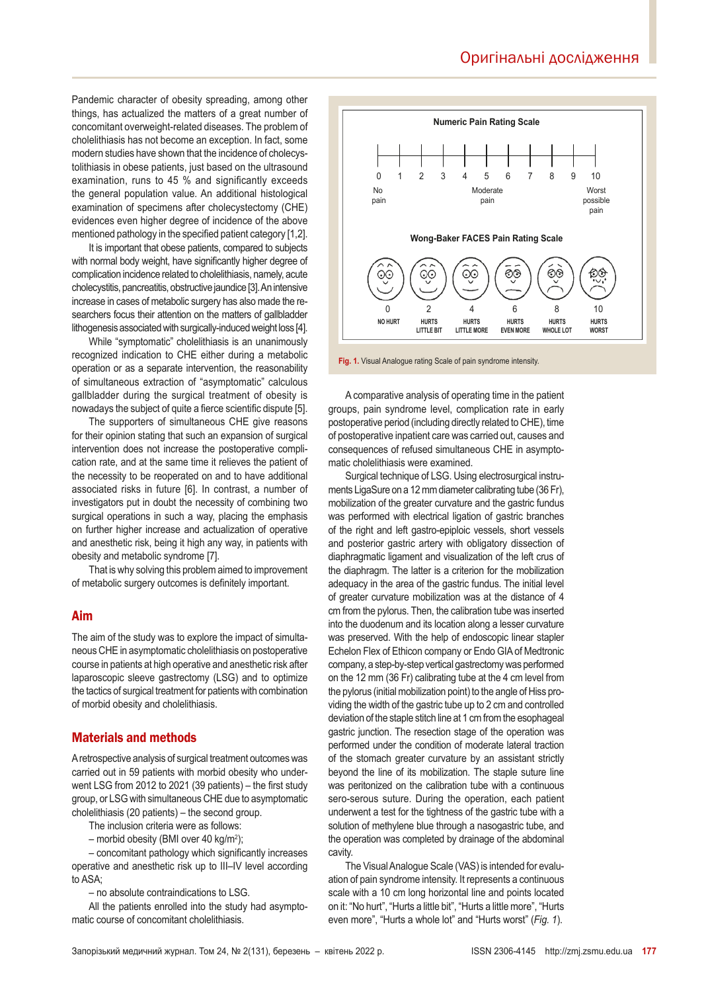Pandemic character of obesity spreading, among other things, has actualized the matters of a great number of concomitant overweight-related diseases. The problem of cholelithiasis has not become an exception. In fact, some modern studies have shown that the incidence of cholecystolithiasis in obese patients, just based on the ultrasound examination, runs to 45 % and significantly exceeds the general population value. An additional histological examination of specimens after cholecystectomy (CHE) evidences even higher degree of incidence of the above mentioned pathology in the specified patient category [1,2].

It is important that obese patients, compared to subjects with normal body weight, have significantly higher degree of complication incidence related to cholelithiasis, namely, acute cholecystitis, pancreatitis, obstructive jaundice [3]. An intensive increase in cases of metabolic surgery has also made the researchers focus their attention on the matters of gallbladder lithogenesis associated with surgically-induced weight loss [4].

While "symptomatic" cholelithiasis is an unanimously recognized indication to CHE either during a metabolic operation or as a separate intervention, the reasonability of simultaneous extraction of "asymptomatic" calculous gallbladder during the surgical treatment of obesity is nowadays the subject of quite a fierce scientific dispute [5].

The supporters of simultaneous CHE give reasons for their opinion stating that such an expansion of surgical intervention does not increase the postoperative complication rate, and at the same time it relieves the patient of the necessity to be reoperated on and to have additional associated risks in future [6]. In contrast, a number of investigators put in doubt the necessity of combining two surgical operations in such a way, placing the emphasis on further higher increase and actualization of operative and anesthetic risk, being it high any way, in patients with obesity and metabolic syndrome [7].

That is why solving this problem aimed to improvement of metabolic surgery outcomes is definitely important.

## Aim

The aim of the study was to explore the impact of simultaneous CHE in asymptomatic cholelithiasis on postoperative course in patients at high operative and anesthetic risk after laparoscopic sleeve gastrectomy (LSG) and to optimize the tactics of surgical treatment for patients with combination of morbid obesity and cholelithiasis.

## Materials and methods

A retrospective analysis of surgical treatment outcomes was carried out in 59 patients with morbid obesity who underwent LSG from 2012 to 2021 (39 patients) – the first study group, or LSG with simultaneous CHE due to asymptomatic cholelithiasis (20 patients) – the second group.

The inclusion criteria were as follows:

– morbid obesity (BMI over 40 kg/m<sup>2</sup> );

– concomitant pathology which significantly increases operative and anesthetic risk up to III–IV level according to ASA;

– no absolute contraindications to LSG.

All the patients enrolled into the study had asymptomatic course of concomitant cholelithiasis.



**Fig. 1.** Visual Analogue rating Scale of pain syndrome intensity.

A comparative analysis of operating time in the patient groups, pain syndrome level, complication rate in early postoperative period (including directly related to CHE), time of postoperative inpatient care was carried out, causes and consequences of refused simultaneous CHE in asymptomatic cholelithiasis were examined.

Surgical technique of LSG. Using electrosurgical instruments LigaSure on a 12 mm diameter calibrating tube (36 Fr), mobilization of the greater curvature and the gastric fundus was performed with electrical ligation of gastric branches of the right and left gastro-epiploic vessels, short vessels and posterior gastric artery with obligatory dissection of diaphragmatic ligament and visualization of the left crus of the diaphragm. The latter is a criterion for the mobilization adequacy in the area of the gastric fundus. The initial level of greater curvature mobilization was at the distance of 4 cm from the pylorus. Then, the calibration tube was inserted into the duodenum and its location along a lesser curvature was preserved. With the help of endoscopic linear stapler Echelon Flex of Ethicon company or Endo GIA of Medtronic company, a step-by-step vertical gastrectomy was performed on the 12 mm (36 Fr) calibrating tube at the 4 cm level from the pylorus (initial mobilization point) to the angle of Hiss providing the width of the gastric tube up to 2 cm and controlled deviation of the staple stitch line at 1 cm from the esophageal gastric junction. The resection stage of the operation was performed under the condition of moderate lateral traction of the stomach greater curvature by an assistant strictly beyond the line of its mobilization. The staple suture line was peritonized on the calibration tube with a continuous sero-serous suture. During the operation, each patient underwent a test for the tightness of the gastric tube with a solution of methylene blue through a nasogastric tube, and the operation was completed by drainage of the abdominal cavity.

The Visual Analogue Scale (VAS) is intended for evaluation of pain syndrome intensity. It represents a continuous scale with a 10 cm long horizontal line and points located on it: "No hurt", "Hurts a little bit", "Hurts a little more", "Hurts even more", "Hurts a whole lot" and "Hurts worst" (*Fig. 1*).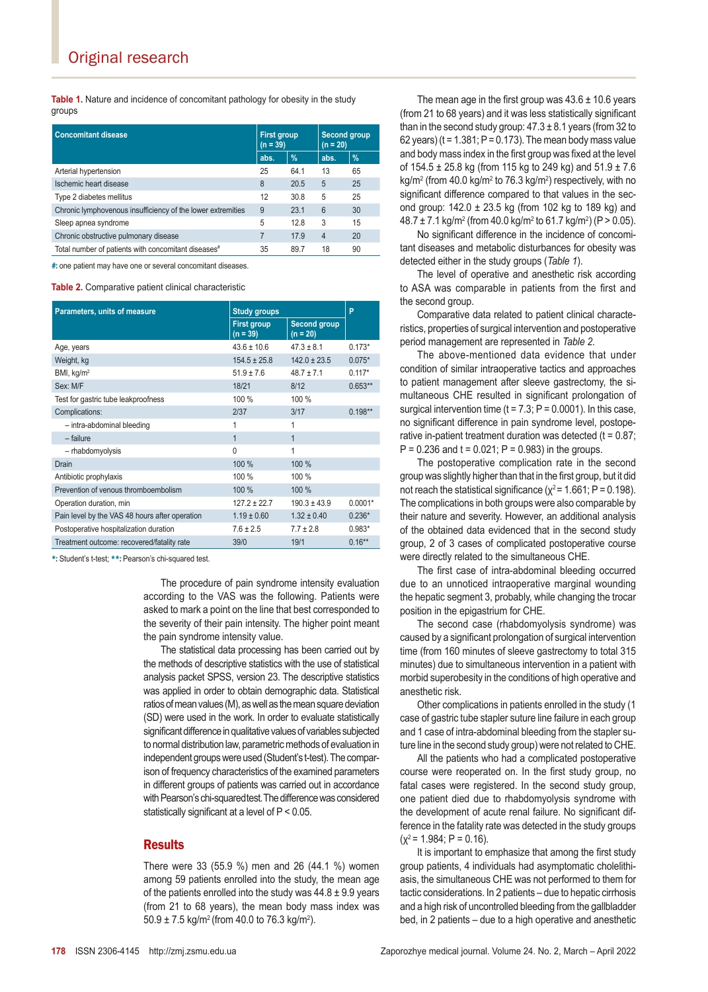**Table 1.** Nature and incidence of concomitant pathology for obesity in the study groups

| <b>Concomitant disease</b>                                  |      | <b>First group</b><br>$(n = 39)$ |      | <b>Second group</b><br>$(n = 20)$ |  |
|-------------------------------------------------------------|------|----------------------------------|------|-----------------------------------|--|
|                                                             | abs. | $\%$                             | abs. | $\frac{9}{6}$                     |  |
| Arterial hypertension                                       | 25   | 64.1                             | 13   | 65                                |  |
| Ischemic heart disease                                      | 8    | 20.5                             | 5    | 25                                |  |
| Type 2 diabetes mellitus                                    |      | 30.8                             | 5    | 25                                |  |
| Chronic lymphovenous insufficiency of the lower extremities | 9    | 23.1                             | 6    | 30                                |  |
| Sleep apnea syndrome                                        |      | 12.8                             | 3    | 15                                |  |
| Chronic obstructive pulmonary disease                       |      | 17.9                             | 4    | 20                                |  |
| Total number of patients with concomitant diseases#         |      | 89.7                             | 18   | 90                                |  |

**#:** one patient may have one or several concomitant diseases.

**Table 2.** Comparative patient clinical characteristic

| Parameters, units of measure                   | <b>Study groups</b>              | P                                 |           |
|------------------------------------------------|----------------------------------|-----------------------------------|-----------|
|                                                | <b>First group</b><br>$(n = 39)$ | <b>Second group</b><br>$(n = 20)$ |           |
| Age, years                                     | $43.6 \pm 10.6$                  | $47.3 \pm 8.1$                    | $0.173*$  |
| Weight, kg                                     | $154.5 \pm 25.8$                 | $142.0 \pm 23.5$                  | $0.075*$  |
| BMI, $kg/m2$                                   | $51.9 \pm 7.6$                   | $48.7 \pm 7.1$                    | $0.117*$  |
| Sex: M/F                                       | 18/21                            | 8/12                              | $0.653**$ |
| Test for gastric tube leakproofness            | 100 %                            | 100 %                             |           |
| Complications:                                 | 2/37                             | 3/17                              | $0.198**$ |
| - intra-abdominal bleeding                     | 1                                | 1                                 |           |
| - failure                                      | $\mathbf{1}$                     | $\overline{1}$                    |           |
| - rhabdomyolysis                               | $\mathbf{0}$                     | 1                                 |           |
| Drain                                          | 100 %                            | 100 %                             |           |
| Antibiotic prophylaxis                         | 100 %                            | 100 %                             |           |
| Prevention of venous thromboembolism           | 100 %                            | 100 %                             |           |
| Operation duration, min                        | $127.2 \pm 22.7$                 | $190.3 \pm 43.9$                  | $0.0001*$ |
| Pain level by the VAS 48 hours after operation | $1.19 \pm 0.60$                  | $1.32 \pm 0.40$                   | $0.236*$  |
| Postoperative hospitalization duration         | $7.6 \pm 2.5$                    | $7.7 \pm 2.8$                     | $0.983*$  |
| Treatment outcome: recovered/fatality rate     | 39/0                             | 19/1                              | $0.16***$ |

\*: Student's t-test; \*\*: Pearson's chi-squared test.

The procedure of pain syndrome intensity evaluation according to the VAS was the following. Patients were asked to mark a point on the line that best corresponded to the severity of their pain intensity. The higher point meant the pain syndrome intensity value.

The statistical data processing has been carried out by the methods of descriptive statistics with the use of statistical analysis packet SPSS, version 23. The descriptive statistics was applied in order to obtain demographic data. Statistical ratios of mean values (M), as well as themean square deviation (SD) were used in the work. In order to evaluate statistically significant difference in qualitative values of variables subjected to normal distribution law, parametric methods of evaluation in independent groups were used (Student's t-test). The comparison of frequency characteristics of the examined parameters in different groups of patients was carried out in accordance with Pearson's chi-squaredtest.The difference was considered statistically significant at a level of P < 0.05.

## **Results**

There were 33 (55.9 %) men and 26 (44.1 %) women among 59 patients enrolled into the study, the mean age of the patients enrolled into the study was  $44.8 \pm 9.9$  years (from 21 to 68 years), the mean body mass index was 50.9 ± 7.5 kg/m² (from 40.0 to 76.3 kg/m²).

The mean age in the first group was  $43.6 \pm 10.6$  years (from 21 to 68 years) and it was less statistically significant than in the second study group: 47.3 ± 8.1 years (from 32 to 62 years) ( $t = 1.381$ ; P = 0.173). The mean body mass value and body mass index in the first group was fixed at the level of 154.5  $\pm$  25.8 kg (from 115 kg to 249 kg) and 51.9  $\pm$  7.6 kg/m² (from 40.0 kg/m² to 76.3 kg/m²) respectively, with no significant difference compared to that values in the second group:  $142.0 \pm 23.5$  kg (from 102 kg to 189 kg) and 48.7 ± 7.1 kg/m<sup>2</sup> (from 40.0 kg/m<sup>2</sup> to 61.7 kg/m<sup>2</sup> ) (P > 0.05).

No significant difference in the incidence of concomitant diseases and metabolic disturbances for obesity was detected either in the study groups (*Table 1*).

The level of operative and anesthetic risk according to ASA was comparable in patients from the first and the second group.

Comparative data related to patient clinical characteristics, properties of surgical intervention and postoperative period management are represented in *Table 2*.

The above-mentioned data evidence that under condition of similar intraoperative tactics and approaches to patient management after sleeve gastrectomy, the simultaneous CHE resulted in significant prolongation of surgical intervention time ( $t = 7.3$ ;  $P = 0.0001$ ). In this case, no significant difference in pain syndrome level, postoperative in-patient treatment duration was detected  $(t = 0.87)$ ;  $P = 0.236$  and  $t = 0.021$ ;  $P = 0.983$ ) in the groups.

The postoperative complication rate in the second group was slightly higher than that in the first group, but it did not reach the statistical significance ( $\chi^2$  = 1.661; P = 0.198). The complications in both groups were also comparable by their nature and severity. However, an additional analysis of the obtained data evidenced that in the second study group, 2 of 3 cases of complicated postoperative course were directly related to the simultaneous CHE.

The first case of intra-abdominal bleeding occurred due to an unnoticed intraoperative marginal wounding the hepatic segment 3, probably, while changing the trocar position in the epigastrium for CHE.

The second case (rhabdomyolysis syndrome) was caused by a significant prolongation of surgical intervention time (from 160 minutes of sleeve gastrectomy to total 315 minutes) due to simultaneous intervention in a patient with morbid superobesity in the conditions of high operative and anesthetic risk.

Other complications in patients enrolled in the study (1 case of gastric tube stapler suture line failure in each group and 1 case of intra-abdominal bleeding from the stapler suture line in the second study group) were not related to CHE.

All the patients who had a complicated postoperative course were reoperated on. In the first study group, no fatal cases were registered. In the second study group, one patient died due to rhabdomyolysis syndrome with the development of acute renal failure. No significant difference in the fatality rate was detected in the study groups  $(x^2 = 1.984; P = 0.16)$ .

It is important to emphasize that among the first study group patients, 4 individuals had asymptomatic cholelithiasis, the simultaneous CHE was not performed to them for tactic considerations. In 2 patients – due to hepatic cirrhosis and a high risk of uncontrolled bleeding from the gallbladder bed, in 2 patients – due to a high operative and anesthetic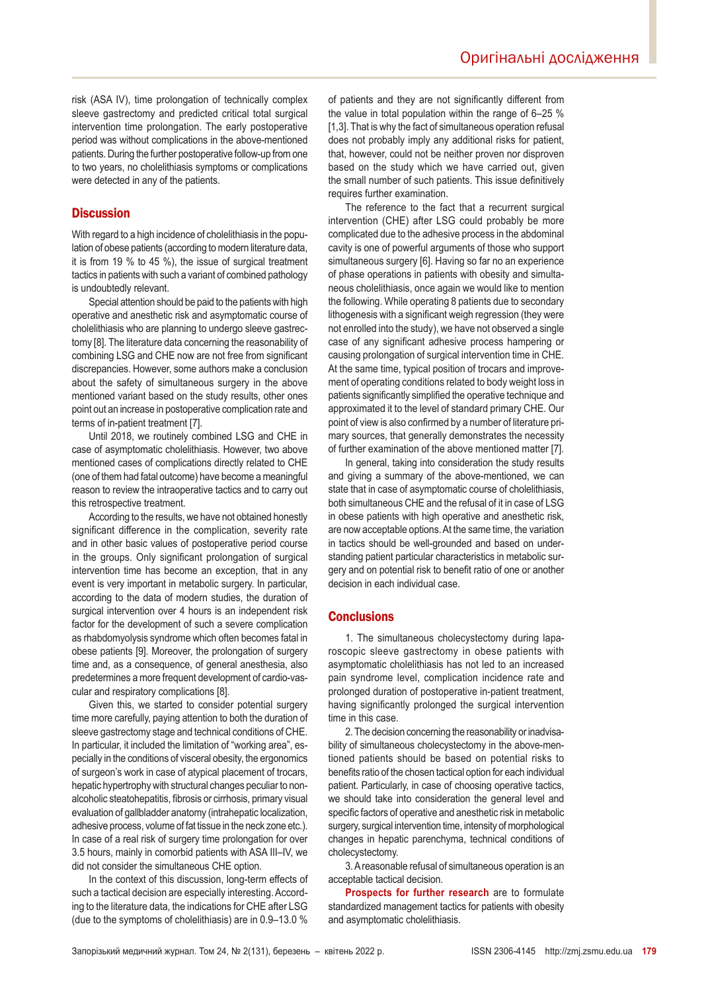risk (ASA IV), time prolongation of technically complex sleeve gastrectomy and predicted critical total surgical intervention time prolongation. The early postoperative period was without complications in the above-mentioned patients. During the further postoperative follow-up from one to two years, no cholelithiasis symptoms or complications were detected in any of the patients.

## **Discussion**

With regard to a high incidence of cholelithiasis in the population of obese patients (according to modern literature data, it is from 19 % to 45 %), the issue of surgical treatment tactics in patients with such a variant of combined pathology is undoubtedly relevant.

Special attention should be paid to the patients with high operative and anesthetic risk and asymptomatic course of cholelithiasis who are planning to undergo sleeve gastrectomy [8]. The literature data concerning the reasonability of combining LSG and CHE now are not free from significant discrepancies. However, some authors make a conclusion about the safety of simultaneous surgery in the above mentioned variant based on the study results, other ones point out an increase in postoperative complication rate and terms of in-patient treatment [7].

Until 2018, we routinely combined LSG and CHE in case of asymptomatic cholelithiasis. However, two above mentioned cases of complications directly related to CHE (one of them had fatal outcome) have become a meaningful reason to review the intraoperative tactics and to carry out this retrospective treatment.

According to the results, we have not obtained honestly significant difference in the complication, severity rate and in other basic values of postoperative period course in the groups. Only significant prolongation of surgical intervention time has become an exception, that in any event is very important in metabolic surgery. In particular, according to the data of modern studies, the duration of surgical intervention over 4 hours is an independent risk factor for the development of such a severe complication as rhabdomyolysis syndrome which often becomes fatal in obese patients [9]. Moreover, the prolongation of surgery time and, as a consequence, of general anesthesia, also predetermines a more frequent development of cardio-vascular and respiratory complications [8].

Given this, we started to consider potential surgery time more carefully, paying attention to both the duration of sleeve gastrectomy stage and technical conditions of CHE. In particular, it included the limitation of "working area", especially in the conditions of visceral obesity, the ergonomics of surgeon's work in case of atypical placement of trocars, hepatic hypertrophy with structural changes peculiar to nonalcoholic steatohepatitis, fibrosis or cirrhosis, primary visual evaluation of gallbladder anatomy (intrahepatic localization, adhesive process, volume of fat tissue in the neck zone etc.). In case of a real risk of surgery time prolongation for over 3.5 hours, mainly in comorbid patients with ASA III–IV, we did not consider the simultaneous CHE option.

In the context of this discussion, long-term effects of such a tactical decision are especially interesting. According to the literature data, the indications for CHE after LSG (due to the symptoms of cholelithiasis) are in 0.9–13.0 % of patients and they are not significantly different from the value in total population within the range of 6–25 % [1,3]. That is why the fact of simultaneous operation refusal does not probably imply any additional risks for patient, that, however, could not be neither proven nor disproven based on the study which we have carried out, given the small number of such patients. This issue definitively requires further examination.

The reference to the fact that a recurrent surgical intervention (CHE) after LSG could probably be more complicated due to the adhesive process in the abdominal cavity is one of powerful arguments of those who support simultaneous surgery [6]. Having so far no an experience of phase operations in patients with obesity and simultaneous cholelithiasis, once again we would like to mention the following. While operating 8 patients due to secondary lithogenesis with a significant weigh regression (they were not enrolled into the study), we have not observed a single case of any significant adhesive process hampering or causing prolongation of surgical intervention time in CHE. At the same time, typical position of trocars and improvement of operating conditions related to body weight loss in patients significantly simplified the operative technique and approximated it to the level of standard primary CHE. Our point of view is also confirmed by a number of literature primary sources, that generally demonstrates the necessity of further examination of the above mentioned matter [7].

In general, taking into consideration the study results and giving a summary of the above-mentioned, we can state that in case of asymptomatic course of cholelithiasis, both simultaneous CHE and the refusal of it in case of LSG in obese patients with high operative and anesthetic risk, are now acceptable options. At the same time, the variation in tactics should be well-grounded and based on understanding patient particular characteristics in metabolic surgery and on potential risk to benefit ratio of one or another decision in each individual case.

## **Conclusions**

1. The simultaneous cholecystectomy during laparoscopic sleeve gastrectomy in obese patients with asymptomatic cholelithiasis has not led to an increased pain syndrome level, complication incidence rate and prolonged duration of postoperative in-patient treatment, having significantly prolonged the surgical intervention time in this case.

2. The decision concerning the reasonability or inadvisability of simultaneous cholecystectomy in the above-mentioned patients should be based on potential risks to benefits ratio of the chosen tactical option for each individual patient. Particularly, in case of choosing operative tactics, we should take into consideration the general level and specific factors of operative and anesthetic risk in metabolic surgery, surgical intervention time, intensity of morphological changes in hepatic parenchyma, technical conditions of cholecystectomy.

3. A reasonable refusal of simultaneous operation is an acceptable tactical decision.

**Prospects for further research** are to formulate standardized management tactics for patients with obesity and asymptomatic cholelithiasis.